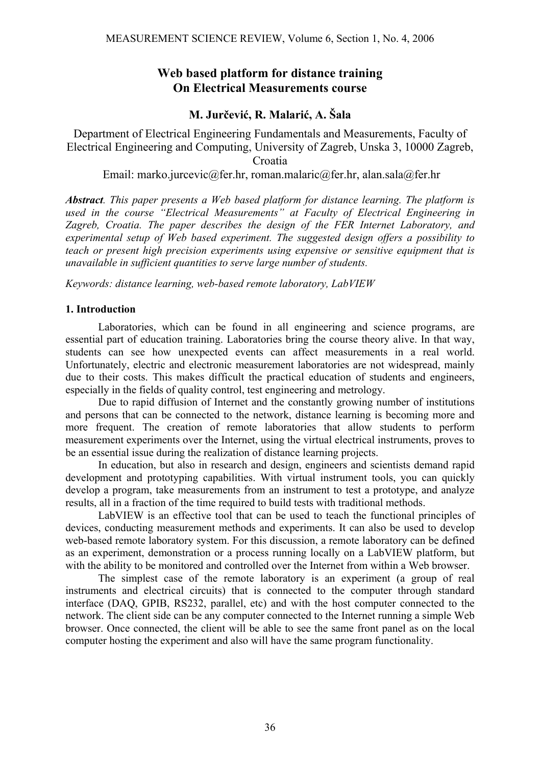# **Web based platform for distance training On Electrical Measurements course**

## **M. Jurčević, R. Malarić, A. Šala**

Department of Electrical Engineering Fundamentals and Measurements, Faculty of Electrical Engineering and Computing, University of Zagreb, Unska 3, 10000 Zagreb, Croatia

Email: marko.jurcevic@fer.hr, roman.malaric@fer.hr, alan.sala@fer.hr

*Abstract. This paper presents a Web based platform for distance learning. The platform is used in the course "Electrical Measurements" at Faculty of Electrical Engineering in Zagreb, Croatia. The paper describes the design of the FER Internet Laboratory, and experimental setup of Web based experiment. The suggested design offers a possibility to teach or present high precision experiments using expensive or sensitive equipment that is unavailable in sufficient quantities to serve large number of students.* 

*Keywords: distance learning, web-based remote laboratory, LabVIEW* 

### **1. Introduction**

Laboratories, which can be found in all engineering and science programs, are essential part of education training. Laboratories bring the course theory alive. In that way, students can see how unexpected events can affect measurements in a real world. Unfortunately, electric and electronic measurement laboratories are not widespread, mainly due to their costs. This makes difficult the practical education of students and engineers, especially in the fields of quality control, test engineering and metrology.

Due to rapid diffusion of Internet and the constantly growing number of institutions and persons that can be connected to the network, distance learning is becoming more and more frequent. The creation of remote laboratories that allow students to perform measurement experiments over the Internet, using the virtual electrical instruments, proves to be an essential issue during the realization of distance learning projects.

In education, but also in research and design, engineers and scientists demand rapid development and prototyping capabilities. With virtual instrument tools, you can quickly develop a program, take measurements from an instrument to test a prototype, and analyze results, all in a fraction of the time required to build tests with traditional methods.

LabVIEW is an effective tool that can be used to teach the functional principles of devices, conducting measurement methods and experiments. It can also be used to develop web-based remote laboratory system. For this discussion, a remote laboratory can be defined as an experiment, demonstration or a process running locally on a LabVIEW platform, but with the ability to be monitored and controlled over the Internet from within a Web browser.

The simplest case of the remote laboratory is an experiment (a group of real instruments and electrical circuits) that is connected to the computer through standard interface (DAQ, GPIB, RS232, parallel, etc) and with the host computer connected to the network. The client side can be any computer connected to the Internet running a simple Web browser. Once connected, the client will be able to see the same front panel as on the local computer hosting the experiment and also will have the same program functionality.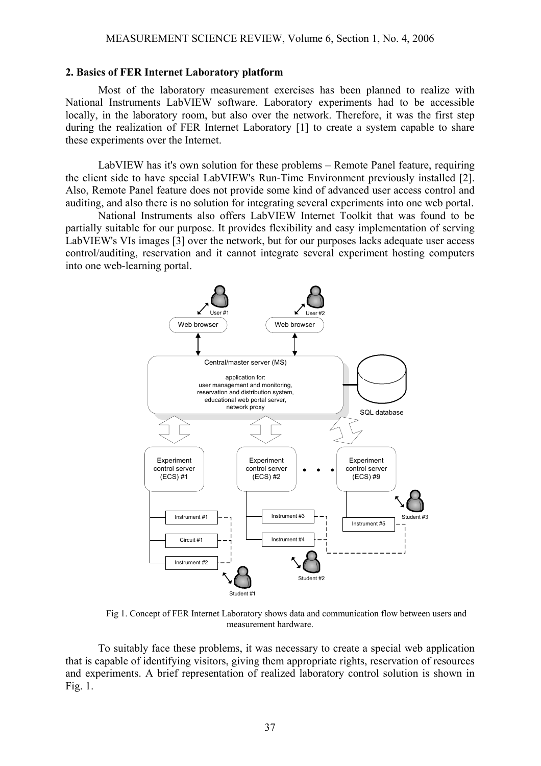#### **2. Basics of FER Internet Laboratory platform**

 Most of the laboratory measurement exercises has been planned to realize with National Instruments LabVIEW software. Laboratory experiments had to be accessible locally, in the laboratory room, but also over the network. Therefore, it was the first step during the realization of FER Internet Laboratory [1] to create a system capable to share these experiments over the Internet.

LabVIEW has it's own solution for these problems – Remote Panel feature, requiring the client side to have special LabVIEW's Run-Time Environment previously installed [2]. Also, Remote Panel feature does not provide some kind of advanced user access control and auditing, and also there is no solution for integrating several experiments into one web portal.

 National Instruments also offers LabVIEW Internet Toolkit that was found to be partially suitable for our purpose. It provides flexibility and easy implementation of serving LabVIEW's VIs images [3] over the network, but for our purposes lacks adequate user access control/auditing, reservation and it cannot integrate several experiment hosting computers into one web-learning portal.



Fig 1. Concept of FER Internet Laboratory shows data and communication flow between users and measurement hardware.

To suitably face these problems, it was necessary to create a special web application that is capable of identifying visitors, giving them appropriate rights, reservation of resources and experiments. A brief representation of realized laboratory control solution is shown in Fig. 1.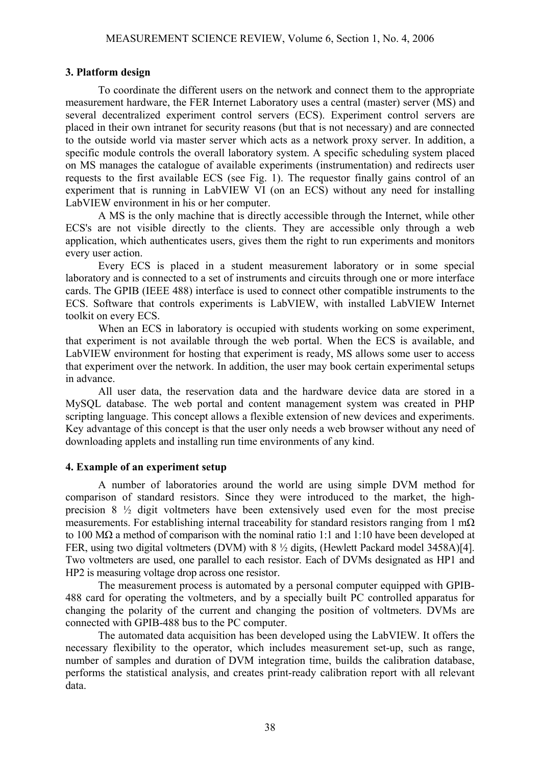#### **3. Platform design**

 To coordinate the different users on the network and connect them to the appropriate measurement hardware, the FER Internet Laboratory uses a central (master) server (MS) and several decentralized experiment control servers (ECS). Experiment control servers are placed in their own intranet for security reasons (but that is not necessary) and are connected to the outside world via master server which acts as a network proxy server. In addition, a specific module controls the overall laboratory system. A specific scheduling system placed on MS manages the catalogue of available experiments (instrumentation) and redirects user requests to the first available ECS (see Fig. 1). The requestor finally gains control of an experiment that is running in LabVIEW VI (on an ECS) without any need for installing LabVIEW environment in his or her computer.

 A MS is the only machine that is directly accessible through the Internet, while other ECS's are not visible directly to the clients. They are accessible only through a web application, which authenticates users, gives them the right to run experiments and monitors every user action.

 Every ECS is placed in a student measurement laboratory or in some special laboratory and is connected to a set of instruments and circuits through one or more interface cards. The GPIB (IEEE 488) interface is used to connect other compatible instruments to the ECS. Software that controls experiments is LabVIEW, with installed LabVIEW Internet toolkit on every ECS.

When an ECS in laboratory is occupied with students working on some experiment, that experiment is not available through the web portal. When the ECS is available, and LabVIEW environment for hosting that experiment is ready, MS allows some user to access that experiment over the network. In addition, the user may book certain experimental setups in advance.

All user data, the reservation data and the hardware device data are stored in a MySQL database. The web portal and content management system was created in PHP scripting language. This concept allows a flexible extension of new devices and experiments. Key advantage of this concept is that the user only needs a web browser without any need of downloading applets and installing run time environments of any kind.

#### **4. Example of an experiment setup**

 A number of laboratories around the world are using simple DVM method for comparison of standard resistors. Since they were introduced to the market, the highprecision 8 ½ digit voltmeters have been extensively used even for the most precise measurements. For establishing internal traceability for standard resistors ranging from 1 m $\Omega$ to 100 MΩ a method of comparison with the nominal ratio 1:1 and 1:10 have been developed at FER, using two digital voltmeters (DVM) with 8 ½ digits, (Hewlett Packard model 3458A)[4]. Two voltmeters are used, one parallel to each resistor. Each of DVMs designated as HP1 and HP2 is measuring voltage drop across one resistor.

 The measurement process is automated by a personal computer equipped with GPIB-488 card for operating the voltmeters, and by a specially built PC controlled apparatus for changing the polarity of the current and changing the position of voltmeters. DVMs are connected with GPIB-488 bus to the PC computer.

 The automated data acquisition has been developed using the LabVIEW. It offers the necessary flexibility to the operator, which includes measurement set-up, such as range, number of samples and duration of DVM integration time, builds the calibration database, performs the statistical analysis, and creates print-ready calibration report with all relevant data.